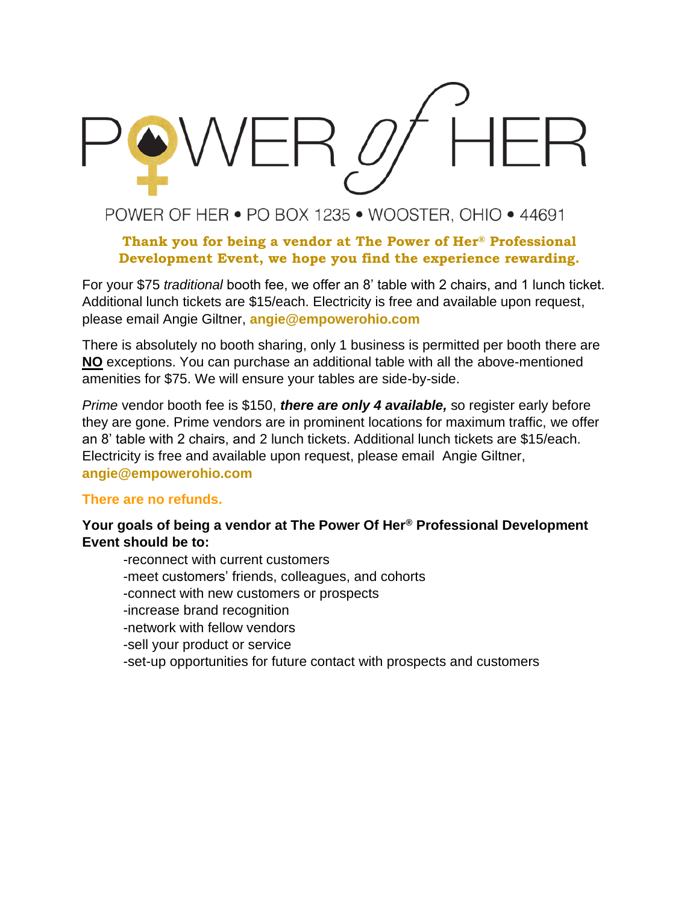

## POWER OF HER • PO BOX 1235 • WOOSTER, OHIO • 44691

### **Thank you for being a vendor at The Power of Her® Professional Development Event, we hope you find the experience rewarding.**

For your \$75 *traditional* booth fee, we offer an 8' table with 2 chairs, and 1 lunch ticket. Additional lunch tickets are \$15/each. Electricity is free and available upon request, please email Angie Giltner, **angie@empowerohio.com**

There is absolutely no booth sharing, only 1 business is permitted per booth there are **NO** exceptions. You can purchase an additional table with all the above-mentioned amenities for \$75. We will ensure your tables are side-by-side.

*Prime* vendor booth fee is \$150, *there are only 4 available,* so register early before they are gone. Prime vendors are in prominent locations for maximum traffic, we offer an 8' table with 2 chairs, and 2 lunch tickets. Additional lunch tickets are \$15/each. Electricity is free and available upon request, please email Angie Giltner, **angie@empowerohio.com**

### **There are no refunds.**

### **Your goals of being a vendor at The Power Of Her® Professional Development Event should be to:**

-reconnect with current customers -meet customers' friends, colleagues, and cohorts -connect with new customers or prospects -increase brand recognition -network with fellow vendors -sell your product or service -set-up opportunities for future contact with prospects and customers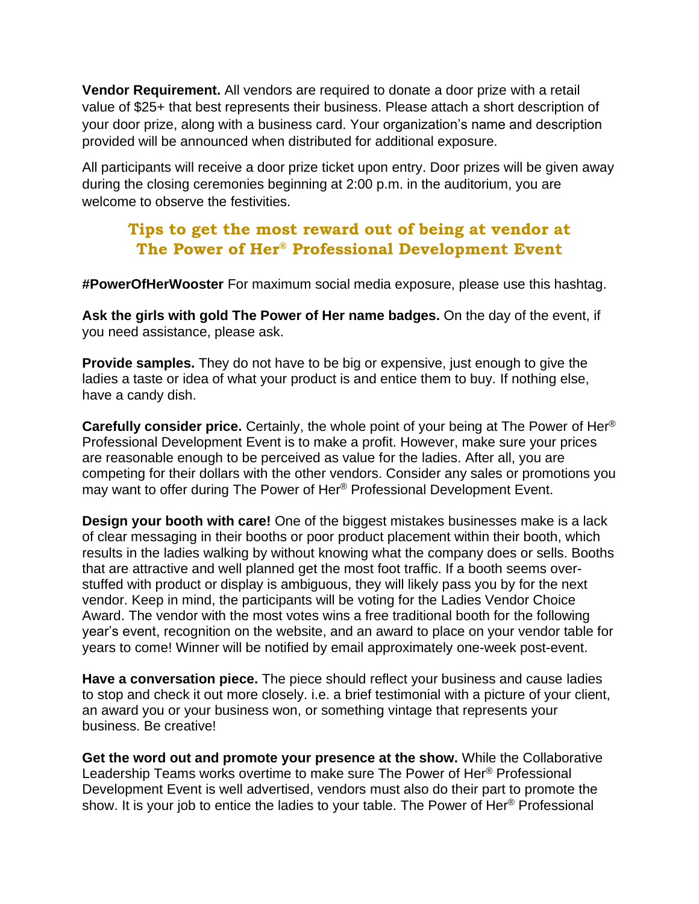**Vendor Requirement.** All vendors are required to donate a door prize with a retail value of \$25+ that best represents their business. Please attach a short description of your door prize, along with a business card. Your organization's name and description provided will be announced when distributed for additional exposure.

All participants will receive a door prize ticket upon entry. Door prizes will be given away during the closing ceremonies beginning at 2:00 p.m. in the auditorium, you are welcome to observe the festivities.

## **Tips to get the most reward out of being at vendor at The Power of Her® Professional Development Event**

**#PowerOfHerWooster** For maximum social media exposure, please use this hashtag.

**Ask the girls with gold The Power of Her name badges.** On the day of the event, if you need assistance, please ask.

**Provide samples.** They do not have to be big or expensive, just enough to give the ladies a taste or idea of what your product is and entice them to buy. If nothing else, have a candy dish.

**Carefully consider price.** Certainly, the whole point of your being at The Power of Her® Professional Development Event is to make a profit. However, make sure your prices are reasonable enough to be perceived as value for the ladies. After all, you are competing for their dollars with the other vendors. Consider any sales or promotions you may want to offer during The Power of Her® Professional Development Event.

**Design your booth with care!** One of the biggest mistakes businesses make is a lack of clear messaging in their booths or poor product placement within their booth, which results in the ladies walking by without knowing what the company does or sells. Booths that are attractive and well planned get the most foot traffic. If a booth seems overstuffed with product or display is ambiguous, they will likely pass you by for the next vendor. Keep in mind, the participants will be voting for the Ladies Vendor Choice Award. The vendor with the most votes wins a free traditional booth for the following year's event, recognition on the website, and an award to place on your vendor table for years to come! Winner will be notified by email approximately one-week post-event.

**Have a conversation piece.** The piece should reflect your business and cause ladies to stop and check it out more closely. i.e. a brief testimonial with a picture of your client, an award you or your business won, or something vintage that represents your business. Be creative!

**Get the word out and promote your presence at the show.** While the Collaborative Leadership Teams works overtime to make sure The Power of Her® Professional Development Event is well advertised, vendors must also do their part to promote the show. It is your job to entice the ladies to your table. The Power of Her® Professional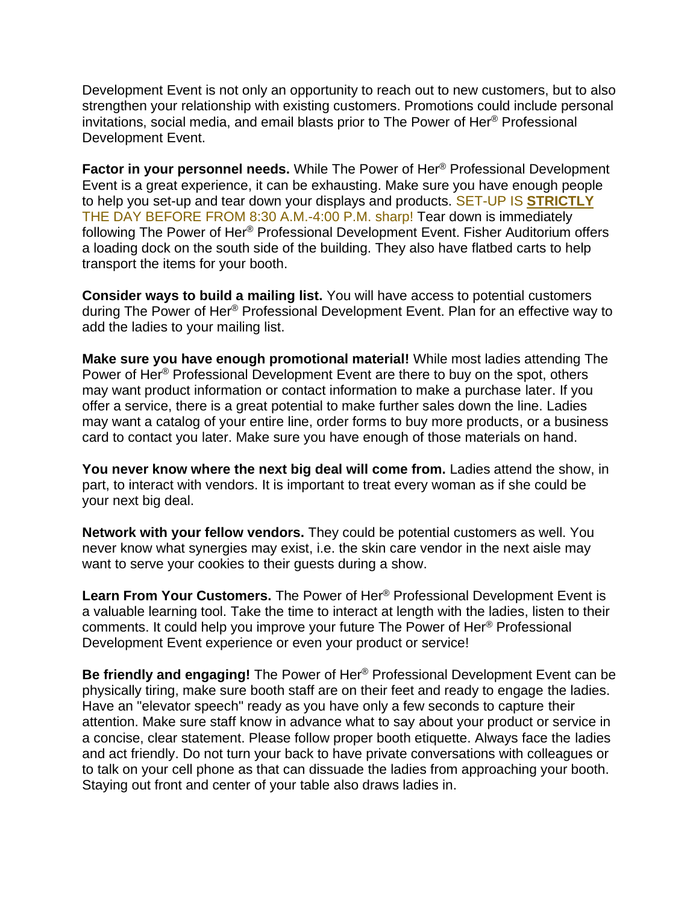Development Event is not only an opportunity to reach out to new customers, but to also strengthen your relationship with existing customers. Promotions could include personal invitations, social media, and email blasts prior to The Power of Her® Professional Development Event.

**Factor in your personnel needs.** While The Power of Her® Professional Development Event is a great experience, it can be exhausting. Make sure you have enough people to help you set-up and tear down your displays and products. SET-UP IS **STRICTLY** THE DAY BEFORE FROM 8:30 A.M.-4:00 P.M. sharp! Tear down is immediately following The Power of Her® Professional Development Event. Fisher Auditorium offers a loading dock on the south side of the building. They also have flatbed carts to help transport the items for your booth.

**Consider ways to build a mailing list.** You will have access to potential customers during The Power of Her® Professional Development Event. Plan for an effective way to add the ladies to your mailing list.

**Make sure you have enough promotional material!** While most ladies attending The Power of Her® Professional Development Event are there to buy on the spot, others may want product information or contact information to make a purchase later. If you offer a service, there is a great potential to make further sales down the line. Ladies may want a catalog of your entire line, order forms to buy more products, or a business card to contact you later. Make sure you have enough of those materials on hand.

**You never know where the next big deal will come from.** Ladies attend the show, in part, to interact with vendors. It is important to treat every woman as if she could be your next big deal.

**Network with your fellow vendors.** They could be potential customers as well. You never know what synergies may exist, i.e. the skin care vendor in the next aisle may want to serve your cookies to their guests during a show.

**Learn From Your Customers.** The Power of Her® Professional Development Event is a valuable learning tool. Take the time to interact at length with the ladies, listen to their comments. It could help you improve your future The Power of Her® Professional Development Event experience or even your product or service!

**Be friendly and engaging!** The Power of Her® Professional Development Event can be physically tiring, make sure booth staff are on their feet and ready to engage the ladies. Have an "elevator speech" ready as you have only a few seconds to capture their attention. Make sure staff know in advance what to say about your product or service in a concise, clear statement. Please follow proper booth etiquette. Always face the ladies and act friendly. Do not turn your back to have private conversations with colleagues or to talk on your cell phone as that can dissuade the ladies from approaching your booth. Staying out front and center of your table also draws ladies in.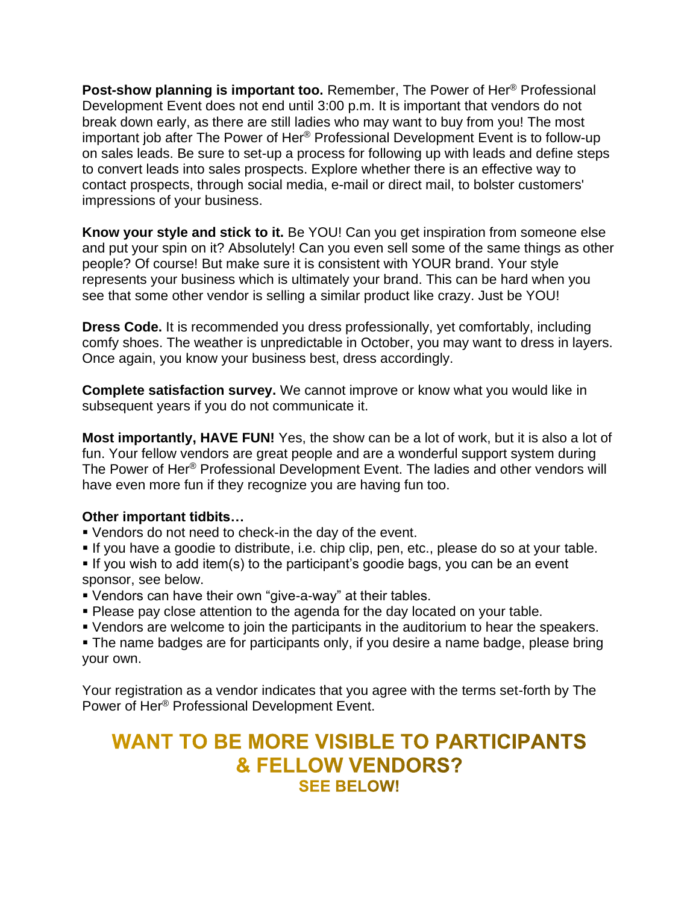**Post-show planning is important too.** Remember, The Power of Her® Professional Development Event does not end until 3:00 p.m. It is important that vendors do not break down early, as there are still ladies who may want to buy from you! The most important job after The Power of Her® Professional Development Event is to follow-up on sales leads. Be sure to set-up a process for following up with leads and define steps to convert leads into sales prospects. Explore whether there is an effective way to contact prospects, through social media, e-mail or direct mail, to bolster customers' impressions of your business.

**Know your style and stick to it.** Be YOU! Can you get inspiration from someone else and put your spin on it? Absolutely! Can you even sell some of the same things as other people? Of course! But make sure it is consistent with YOUR brand. Your style represents your business which is ultimately your brand. This can be hard when you see that some other vendor is selling a similar product like crazy. Just be YOU!

**Dress Code.** It is recommended you dress professionally, yet comfortably, including comfy shoes. The weather is unpredictable in October, you may want to dress in layers. Once again, you know your business best, dress accordingly.

**Complete satisfaction survey.** We cannot improve or know what you would like in subsequent years if you do not communicate it.

**Most importantly, HAVE FUN!** Yes, the show can be a lot of work, but it is also a lot of fun. Your fellow vendors are great people and are a wonderful support system during The Power of Her® Professional Development Event. The ladies and other vendors will have even more fun if they recognize you are having fun too.

### **Other important tidbits…**

- Vendors do not need to check-in the day of the event.
- If you have a goodie to distribute, i.e. chip clip, pen, etc., please do so at your table.
- **.** If you wish to add item(s) to the participant's goodie bags, you can be an event sponsor, see below.
- Vendors can have their own "give-a-way" at their tables.
- Please pay close attention to the agenda for the day located on your table.
- Vendors are welcome to join the participants in the auditorium to hear the speakers.

• The name badges are for participants only, if you desire a name badge, please bring your own.

Your registration as a vendor indicates that you agree with the terms set-forth by The Power of Her® Professional Development Event.

# **WANT TO BE MORE VISIBLE TO PARTICIPANTS & FELLOW VENDORS? SEE BELOW!**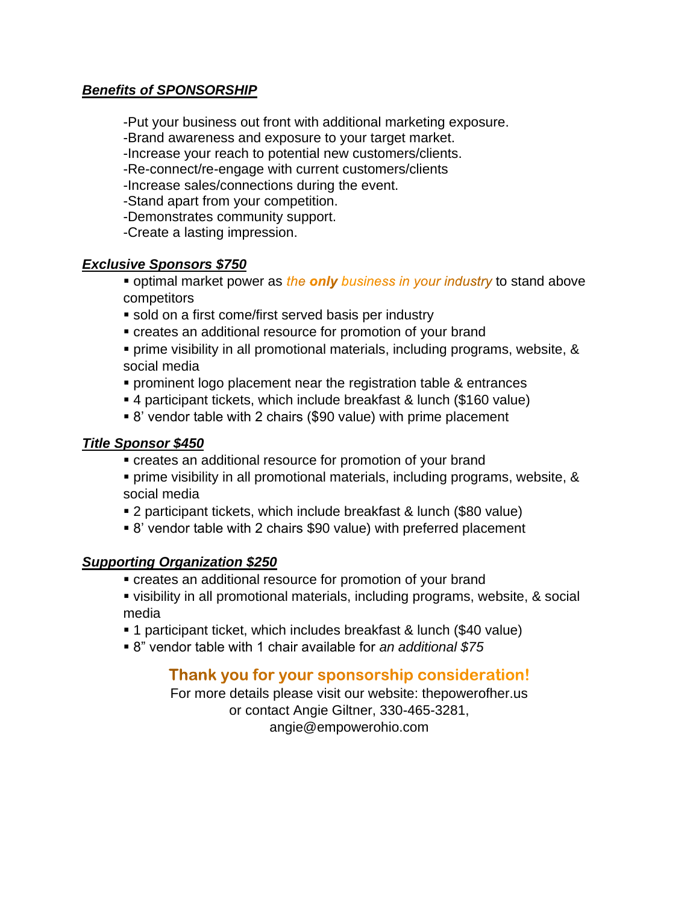### *Benefits of SPONSORSHIP*

-Put your business out front with additional marketing exposure.

-Brand awareness and exposure to your target market.

-Increase your reach to potential new customers/clients.

-Re-connect/re-engage with current customers/clients

-Increase sales/connections during the event.

-Stand apart from your competition.

-Demonstrates community support.

-Create a lasting impression.

### *Exclusive Sponsors \$750*

• optimal market power as the only business in your industry to stand above competitors

- sold on a first come/first served basis per industry
- creates an additional resource for promotion of your brand
- prime visibility in all promotional materials, including programs, website, & social media
- prominent logo placement near the registration table & entrances
- 4 participant tickets, which include breakfast & lunch (\$160 value)
- 8' vendor table with 2 chairs (\$90 value) with prime placement

### *Title Sponsor \$450*

- creates an additional resource for promotion of your brand
- prime visibility in all promotional materials, including programs, website, & social media
- 2 participant tickets, which include breakfast & lunch (\$80 value)
- 8' vendor table with 2 chairs \$90 value) with preferred placement

### *Supporting Organization \$250*

▪ creates an additional resource for promotion of your brand

▪ visibility in all promotional materials, including programs, website, & social media

- 1 participant ticket, which includes breakfast & lunch (\$40 value)
- 8" vendor table with 1 chair available for *an additional \$75*

### Thank you for your sponsorship consideration!

For more details please visit our website: thepowerofher.us or contact Angie Giltner, 330-465-3281, angie@empowerohio.com